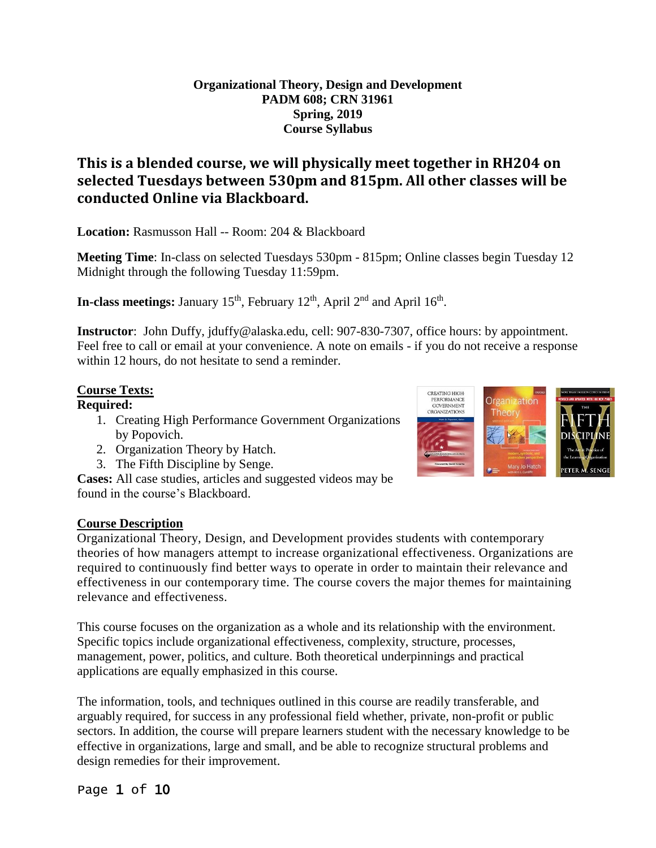#### **Organizational Theory, Design and Development PADM 608; CRN 31961 Spring, 2019 Course Syllabus**

### **This is a blended course, we will physically meet together in RH204 on selected Tuesdays between 530pm and 815pm. All other classes will be conducted Online via Blackboard.**

**Location:** Rasmusson Hall -- Room: 204 & Blackboard

**Meeting Time**: In-class on selected Tuesdays 530pm - 815pm; Online classes begin Tuesday 12 Midnight through the following Tuesday 11:59pm.

**In-class meetings:** January 15<sup>th</sup>, February 12<sup>th</sup>, April 2<sup>nd</sup> and April 16<sup>th</sup>.

**Instructor**: John Duffy, jduffy@alaska.edu, cell: 907-830-7307, office hours: by appointment. Feel free to call or email at your convenience. A note on emails - if you do not receive a response within 12 hours, do not hesitate to send a reminder.

#### **Course Texts:**

#### **Required:**

- 1. Creating High Performance Government Organizations by Popovich.
- 2. Organization Theory by Hatch.
- 3. The Fifth Discipline by Senge.

**Cases:** All case studies, articles and suggested videos may be found in the course's Blackboard.

#### **Course Description**

Organizational Theory, Design, and Development provides students with contemporary theories of how managers attempt to increase organizational effectiveness. Organizations are required to continuously find better ways to operate in order to maintain their relevance and effectiveness in our contemporary time. The course covers the major themes for maintaining relevance and effectiveness.

This course focuses on the organization as a whole and its relationship with the environment. Specific topics include organizational effectiveness, complexity, structure, processes, management, power, politics, and culture. Both theoretical underpinnings and practical applications are equally emphasized in this course.

The information, tools, and techniques outlined in this course are readily transferable, and arguably required, for success in any professional field whether, private, non-profit or public sectors. In addition, the course will prepare learners student with the necessary knowledge to be effective in organizations, large and small, and be able to recognize structural problems and design remedies for their improvement.

### Page 1 of 10

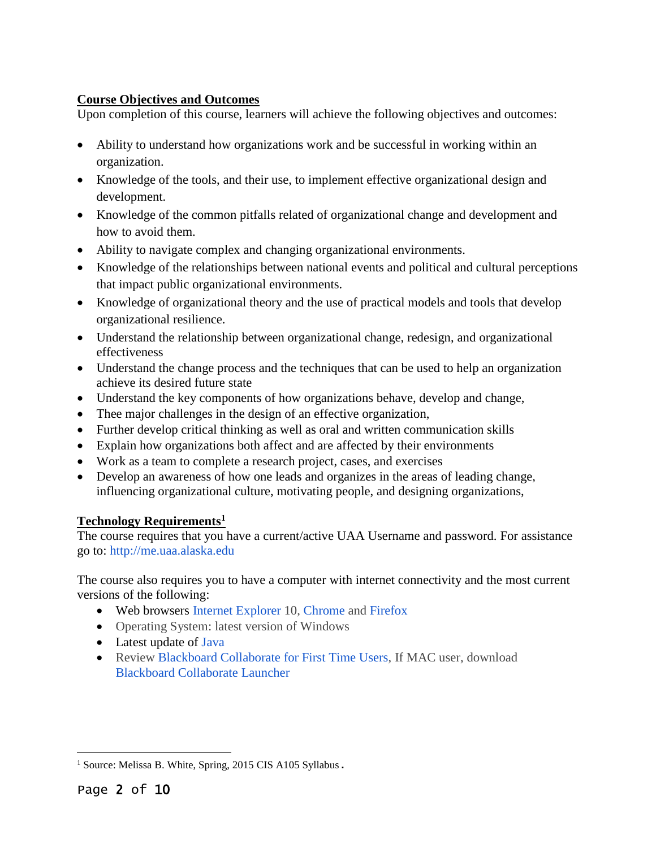### **Course Objectives and Outcomes**

Upon completion of this course, learners will achieve the following objectives and outcomes:

- Ability to understand how organizations work and be successful in working within an organization.
- Knowledge of the tools, and their use, to implement effective organizational design and development.
- Knowledge of the common pitfalls related of organizational change and development and how to avoid them.
- Ability to navigate complex and changing organizational environments.
- Knowledge of the relationships between national events and political and cultural perceptions that impact public organizational environments.
- Knowledge of organizational theory and the use of practical models and tools that develop organizational resilience.
- Understand the relationship between organizational change, redesign, and organizational effectiveness
- Understand the change process and the techniques that can be used to help an organization achieve its desired future state
- Understand the key components of how organizations behave, develop and change,
- Thee major challenges in the design of an effective organization,
- Further develop critical thinking as well as oral and written communication skills
- Explain how organizations both affect and are affected by their environments
- Work as a team to complete a research project, cases, and exercises
- Develop an awareness of how one leads and organizes in the areas of leading change, influencing organizational culture, motivating people, and designing organizations,

#### **Technology Requirements<sup>1</sup>**

The course requires that you have a current/active UAA Username and password. For assistance go to: http://me.uaa.alaska.edu

The course also requires you to have a computer with internet connectivity and the most current versions of the following:

- Web browsers Internet Explorer 10, Chrome and Firefox
- Operating System: latest version of Windows
- Latest update of Java
- Review Blackboard Collaborate for First Time Users, If MAC user, download Blackboard Collaborate Launcher

 <sup>1</sup> Source: Melissa B. White, Spring, 2015 CIS A105 Syllabus.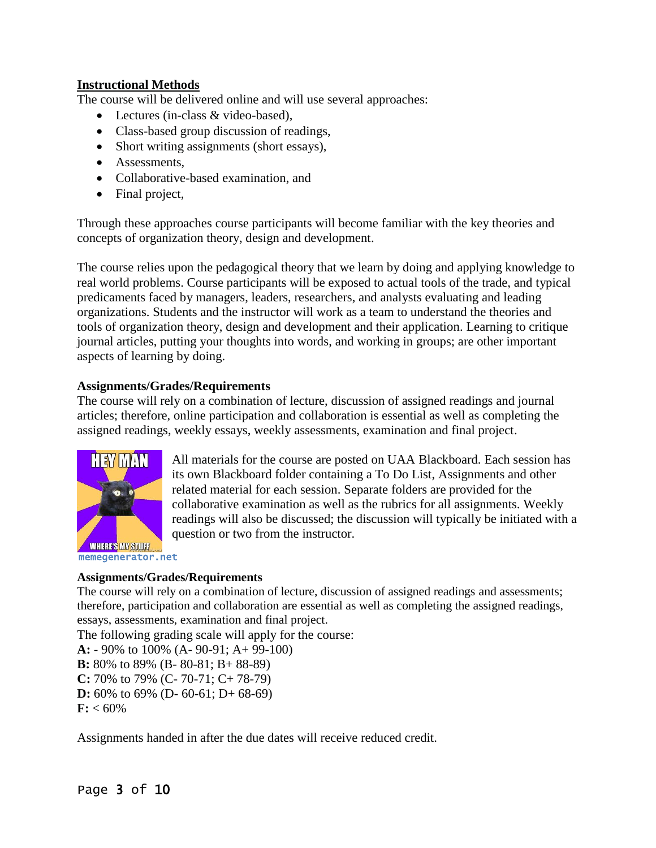#### **Instructional Methods**

The course will be delivered online and will use several approaches:

- Lectures (in-class & video-based).
- Class-based group discussion of readings,
- Short writing assignments (short essays),
- Assessments.
- Collaborative-based examination, and
- Final project,

Through these approaches course participants will become familiar with the key theories and concepts of organization theory, design and development.

The course relies upon the pedagogical theory that we learn by doing and applying knowledge to real world problems. Course participants will be exposed to actual tools of the trade, and typical predicaments faced by managers, leaders, researchers, and analysts evaluating and leading organizations. Students and the instructor will work as a team to understand the theories and tools of organization theory, design and development and their application. Learning to critique journal articles, putting your thoughts into words, and working in groups; are other important aspects of learning by doing.

#### **Assignments/Grades/Requirements**

The course will rely on a combination of lecture, discussion of assigned readings and journal articles; therefore, online participation and collaboration is essential as well as completing the assigned readings, weekly essays, weekly assessments, examination and final project.



All materials for the course are posted on UAA Blackboard. Each session has its own Blackboard folder containing a To Do List, Assignments and other related material for each session. Separate folders are provided for the collaborative examination as well as the rubrics for all assignments. Weekly readings will also be discussed; the discussion will typically be initiated with a question or two from the instructor.

#### **Assignments/Grades/Requirements**

The course will rely on a combination of lecture, discussion of assigned readings and assessments; therefore, participation and collaboration are essential as well as completing the assigned readings, essays, assessments, examination and final project.

The following grading scale will apply for the course: **A:** - 90% to 100% (A- 90-91; A+ 99-100) **B:** 80% to 89% (B- 80-81; B+ 88-89) **C:** 70% to 79% (C- 70-71; C+ 78-79) **D:** 60% to 69% (D- 60-61; D+ 68-69)  $F: < 60\%$ 

Assignments handed in after the due dates will receive reduced credit.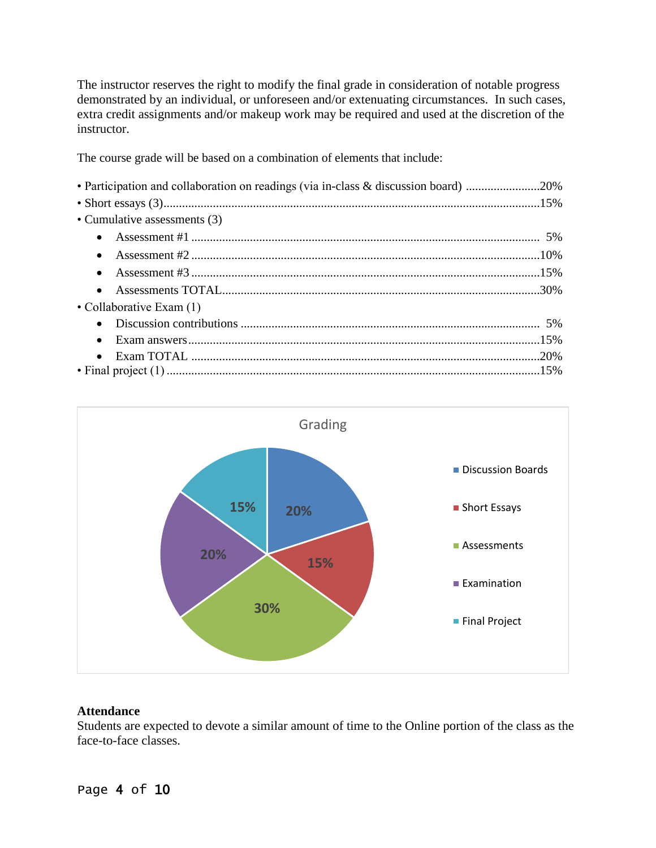The instructor reserves the right to modify the final grade in consideration of notable progress demonstrated by an individual, or unforeseen and/or extenuating circumstances. In such cases, extra credit assignments and/or makeup work may be required and used at the discretion of the instructor.

The course grade will be based on a combination of elements that include:

| • Participation and collaboration on readings (via in-class & discussion board) 20% |  |
|-------------------------------------------------------------------------------------|--|
|                                                                                     |  |
| • Cumulative assessments (3)                                                        |  |
|                                                                                     |  |
|                                                                                     |  |
|                                                                                     |  |
|                                                                                     |  |
| • Collaborative Exam $(1)$                                                          |  |
|                                                                                     |  |
| $\bullet$                                                                           |  |
|                                                                                     |  |
|                                                                                     |  |



#### **Attendance**

Students are expected to devote a similar amount of time to the Online portion of the class as the face-to-face classes.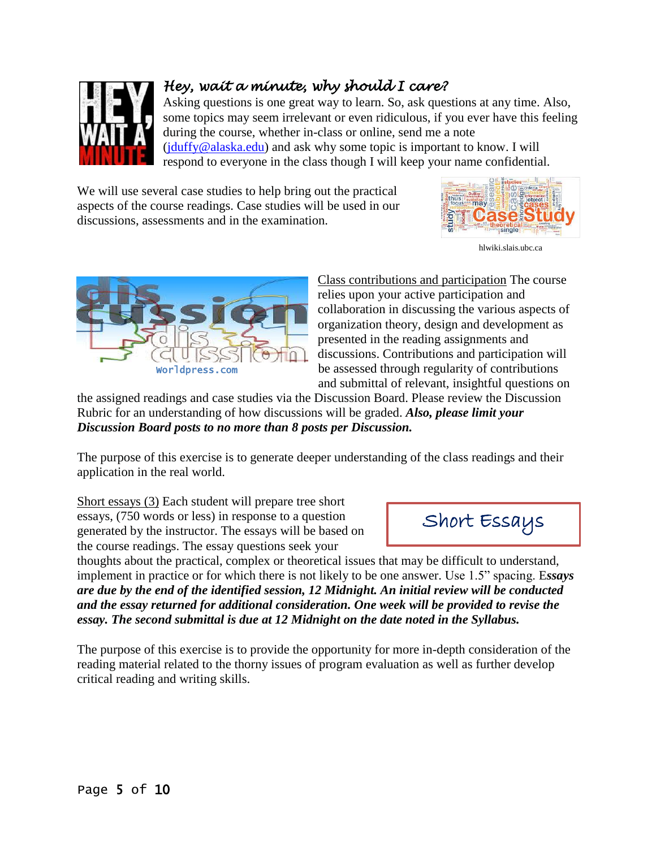

# *Hey, wait a minute, why should I care?*

Asking questions is one great way to learn. So, ask questions at any time. Also, some topics may seem irrelevant or even ridiculous, if you ever have this feeling during the course, whether in-class or online, send me a note [\(jduffy@alaska.edu\)](mailto:jduffy@alaska.edu) and ask why some topic is important to know. I will respond to everyone in the class though I will keep your name confidential.

We will use several case studies to help bring out the practical aspects of the course readings. Case studies will be used in our discussions, assessments and in the examination.



[hlwiki.slais.ubc.ca](https://www.google.com/url?sa=i&rct=j&q=&esrc=s&source=images&cd=&ved=0ahUKEwiE2eHNpsjfAhWHJnwKHdmODigQMwhCKAkwCQ&url=http%3A%2F%2Fhlwiki.slais.ubc.ca%2Findex.php%2FHow_to_write_a_case_study&psig=AOvVaw12C7YeK55OfRbrqKlc5V4p&ust=1546284990486266&ictx=3&uact=3)



Class contributions and participation The course relies upon your active participation and collaboration in discussing the various aspects of organization theory, design and development as presented in the reading assignments and discussions. Contributions and participation will be assessed through regularity of contributions and submittal of relevant, insightful questions on

the assigned readings and case studies via the Discussion Board. Please review the Discussion Rubric for an understanding of how discussions will be graded. *Also, please limit your Discussion Board posts to no more than 8 posts per Discussion.*

The purpose of this exercise is to generate deeper understanding of the class readings and their application in the real world.

Short essays (3) Each student will prepare tree short essays, (750 words or less) in response to a question generated by the instructor. The essays will be based on the course readings. The essay questions seek your

thoughts about the practical, complex or theoretical issues that may be difficult to understand, implement in practice or for which there is not likely to be one answer. Use 1.5" spacing. E*ssays are due by the end of the identified session, 12 Midnight. An initial review will be conducted and the essay returned for additional consideration. One week will be provided to revise the essay. The second submittal is due at 12 Midnight on the date noted in the Syllabus.*

The purpose of this exercise is to provide the opportunity for more in-depth consideration of the reading material related to the thorny issues of program evaluation as well as further develop critical reading and writing skills.

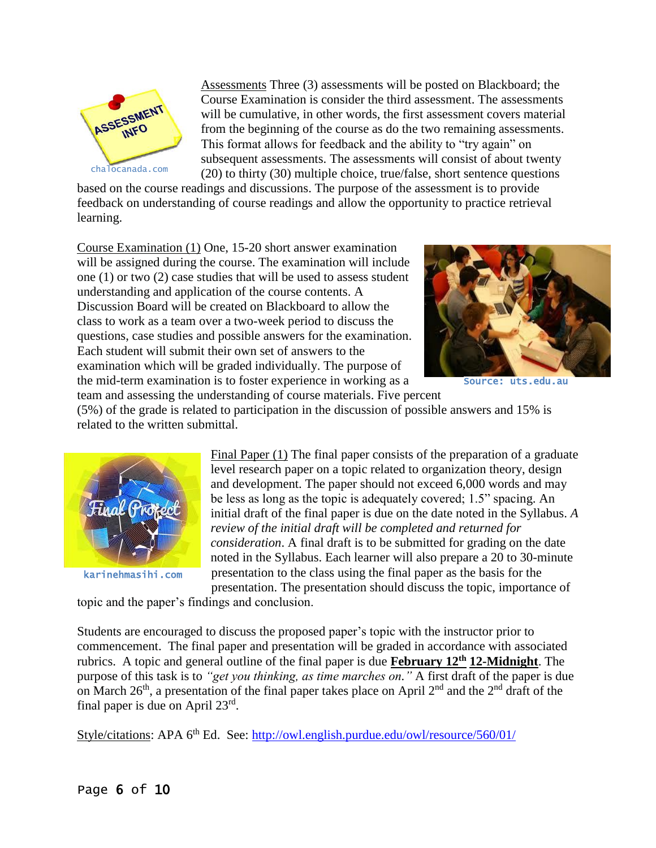

Assessments Three (3) assessments will be posted on Blackboard; the Course Examination is consider the third assessment. The assessments will be cumulative, in other words, the first assessment covers material from the beginning of the course as do the two remaining assessments. This format allows for feedback and the ability to "try again" on subsequent assessments. The assessments will consist of about twenty (20) to thirty (30) multiple choice, true/false, short sentence questions

based on the course readings and discussions. The purpose of the assessment is to provide feedback on understanding of course readings and allow the opportunity to practice retrieval learning.

Course Examination (1) One, 15-20 short answer examination will be assigned during the course. The examination will include one (1) or two (2) case studies that will be used to assess student understanding and application of the course contents. A Discussion Board will be created on Blackboard to allow the class to work as a team over a two-week period to discuss the questions, case studies and possible answers for the examination. Each student will submit their own set of answers to the examination which will be graded individually. The purpose of the mid-term examination is to foster experience in working as a team and assessing the understanding of course materials. Five percent



Source: uts.edu.au

(5%) of the grade is related to participation in the discussion of possible answers and 15% is related to the written submittal.



karinehmasihi.com

Final Paper (1) The final paper consists of the preparation of a graduate level research paper on a topic related to organization theory, design and development. The paper should not exceed 6,000 words and may be less as long as the topic is adequately covered; 1.5" spacing. An initial draft of the final paper is due on the date noted in the Syllabus. *A review of the initial draft will be completed and returned for consideration*. A final draft is to be submitted for grading on the date noted in the Syllabus. Each learner will also prepare a 20 to 30-minute presentation to the class using the final paper as the basis for the presentation. The presentation should discuss the topic, importance of

topic and the paper's findings and conclusion.

Students are encouraged to discuss the proposed paper's topic with the instructor prior to commencement. The final paper and presentation will be graded in accordance with associated rubrics. A topic and general outline of the final paper is due **February 12<sup>th</sup>** 12-Midnight. The purpose of this task is to *"get you thinking, as time marches on."* A first draft of the paper is due on March 26<sup>th</sup>, a presentation of the final paper takes place on April  $2<sup>nd</sup>$  and the  $2<sup>nd</sup>$  draft of the final paper is due on April  $23<sup>rd</sup>$ .

Style/citations: APA 6<sup>th</sup> Ed. See: http://owl.english.purdue.edu/owl/resource/560/01/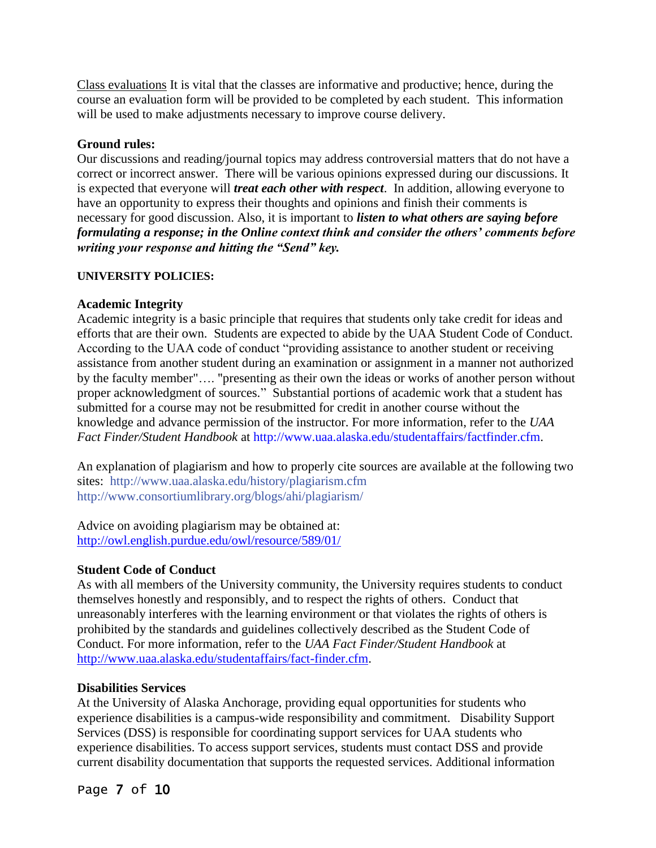Class evaluations It is vital that the classes are informative and productive; hence, during the course an evaluation form will be provided to be completed by each student. This information will be used to make adjustments necessary to improve course delivery.

#### **Ground rules:**

Our discussions and reading/journal topics may address controversial matters that do not have a correct or incorrect answer. There will be various opinions expressed during our discussions. It is expected that everyone will *treat each other with respect*. In addition, allowing everyone to have an opportunity to express their thoughts and opinions and finish their comments is necessary for good discussion. Also, it is important to *listen to what others are saying before formulating a response; in the Online context think and consider the others' comments before writing your response and hitting the "Send" key.*

#### **UNIVERSITY POLICIES:**

#### **Academic Integrity**

Academic integrity is a basic principle that requires that students only take credit for ideas and efforts that are their own. Students are expected to abide by the UAA Student Code of Conduct. According to the UAA code of conduct "providing assistance to another student or receiving assistance from another student during an examination or assignment in a manner not authorized by the faculty member"…. "presenting as their own the ideas or works of another person without proper acknowledgment of sources." Substantial portions of academic work that a student has submitted for a course may not be resubmitted for credit in another course without the knowledge and advance permission of the instructor. For more information, refer to the *UAA Fact Finder/Student Handbook* at http://www.uaa.alaska.edu/studentaffairs/factfinder.cfm.

An explanation of plagiarism and how to properly cite sources are available at the following two sites: http://www.uaa.alaska.edu/history/plagiarism.cfm http://www.consortiumlibrary.org/blogs/ahi/plagiarism/

Advice on avoiding plagiarism may be obtained at: <http://owl.english.purdue.edu/owl/resource/589/01/>

#### **Student Code of Conduct**

As with all members of the University community, the University requires students to conduct themselves honestly and responsibly, and to respect the rights of others. Conduct that unreasonably interferes with the learning environment or that violates the rights of others is prohibited by the standards and guidelines collectively described as the Student Code of Conduct. For more information, refer to the *UAA Fact Finder/Student Handbook* at [http://www.uaa.alaska.edu/studentaffairs/fact-finder.cfm.](http://www.uaa.alaska.edu/studentaffairs/fact-finder.cfm)

#### **Disabilities Services**

At the University of Alaska Anchorage, providing equal opportunities for students who experience disabilities is a campus-wide responsibility and commitment. Disability Support Services (DSS) is responsible for coordinating support services for UAA students who experience disabilities. To access support services, students must contact DSS and provide current disability documentation that supports the requested services. Additional information

Page 7 of 10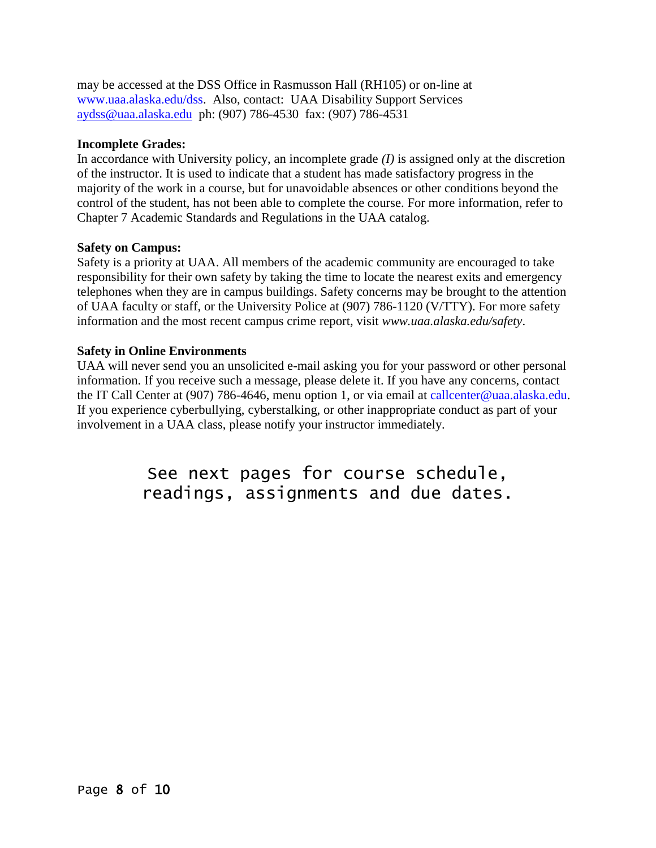may be accessed at the DSS Office in Rasmusson Hall (RH105) or on-line at www.uaa.alaska.edu/dss. Also, contact: UAA Disability Support Services [aydss@uaa.alaska.edu](mailto:aydss@uaa.alaska.edu)ph: (907) 786-4530fax: (907) 786-4531

#### **Incomplete Grades:**

In accordance with University policy, an incomplete grade *(I)* is assigned only at the discretion of the instructor. It is used to indicate that a student has made satisfactory progress in the majority of the work in a course, but for unavoidable absences or other conditions beyond the control of the student, has not been able to complete the course. For more information, refer to Chapter 7 Academic Standards and Regulations in the UAA catalog.

#### **Safety on Campus:**

Safety is a priority at UAA. All members of the academic community are encouraged to take responsibility for their own safety by taking the time to locate the nearest exits and emergency telephones when they are in campus buildings. Safety concerns may be brought to the attention of UAA faculty or staff, or the University Police at (907) 786-1120 (V/TTY). For more safety information and the most recent campus crime report, visit *www.uaa.alaska.edu/safety*.

#### **Safety in Online Environments**

UAA will never send you an unsolicited e-mail asking you for your password or other personal information. If you receive such a message, please delete it. If you have any concerns, contact the IT Call Center at (907) 786-4646, menu option 1, or via email at callcenter@uaa.alaska.edu. If you experience cyberbullying, cyberstalking, or other inappropriate conduct as part of your involvement in a UAA class, please notify your instructor immediately.

# See next pages for course schedule, readings, assignments and due dates.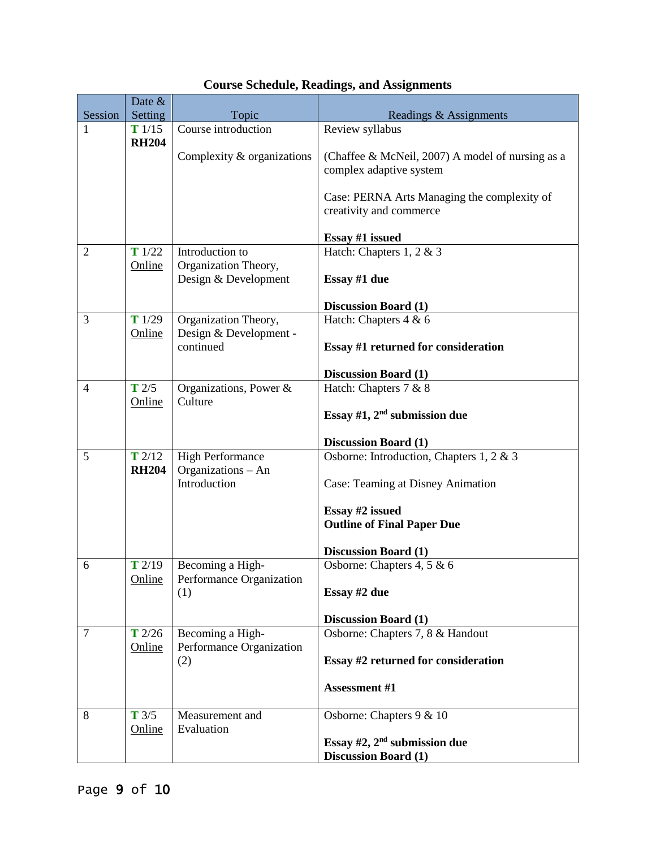|                | Date &                |                                               |                                                                             |
|----------------|-----------------------|-----------------------------------------------|-----------------------------------------------------------------------------|
| Session        | Setting               | Topic                                         | Readings & Assignments                                                      |
| 1              | T1/15                 | Course introduction                           | Review syllabus                                                             |
|                | <b>RH204</b>          | Complexity & organizations                    | (Chaffee & McNeil, 2007) A model of nursing as a<br>complex adaptive system |
|                |                       |                                               | Case: PERNA Arts Managing the complexity of<br>creativity and commerce      |
|                |                       |                                               | Essay #1 issued                                                             |
| $\overline{2}$ | T1/22                 | Introduction to                               | Hatch: Chapters 1, 2 & 3                                                    |
|                | Online                | Organization Theory,<br>Design & Development  | Essay #1 due                                                                |
|                |                       |                                               | <b>Discussion Board (1)</b>                                                 |
| 3              | T1/29                 | Organization Theory,                          | Hatch: Chapters $4 & 6$                                                     |
|                | Online                | Design & Development -<br>continued           | <b>Essay #1 returned for consideration</b>                                  |
|                |                       |                                               | <b>Discussion Board (1)</b>                                                 |
| $\overline{4}$ | $T$ 2/5<br>Online     | Organizations, Power &<br>Culture             | Hatch: Chapters 7 & 8<br>Essay #1, $2nd$ submission due                     |
|                |                       |                                               |                                                                             |
|                |                       |                                               | <b>Discussion Board (1)</b>                                                 |
| 5              | T2/12<br><b>RH204</b> | <b>High Performance</b><br>Organizations - An | Osborne: Introduction, Chapters 1, 2 & 3                                    |
|                |                       | Introduction                                  | Case: Teaming at Disney Animation                                           |
|                |                       |                                               | Essay #2 issued                                                             |
|                |                       |                                               | <b>Outline of Final Paper Due</b>                                           |
|                |                       |                                               |                                                                             |
|                |                       |                                               | <b>Discussion Board (1)</b>                                                 |
| 6              | T2/19<br>Online       | Becoming a High-<br>Performance Organization  | Osborne: Chapters 4, 5 & 6                                                  |
|                |                       | (1)                                           | Essay #2 due                                                                |
|                |                       |                                               |                                                                             |
| 7              | $T$ 2/26              |                                               | <b>Discussion Board (1)</b><br>Osborne: Chapters 7, 8 & Handout             |
|                | Online                | Becoming a High-<br>Performance Organization  |                                                                             |
|                |                       | (2)                                           | Essay #2 returned for consideration                                         |
|                |                       |                                               | <b>Assessment #1</b>                                                        |
| 8              | $T \frac{3}{5}$       | Measurement and                               | Osborne: Chapters 9 & 10                                                    |
|                | Online                | Evaluation                                    |                                                                             |
|                |                       |                                               | Essay $#2$ , $2nd$ submission due                                           |
|                |                       |                                               | <b>Discussion Board (1)</b>                                                 |

## **Course Schedule, Readings, and Assignments**